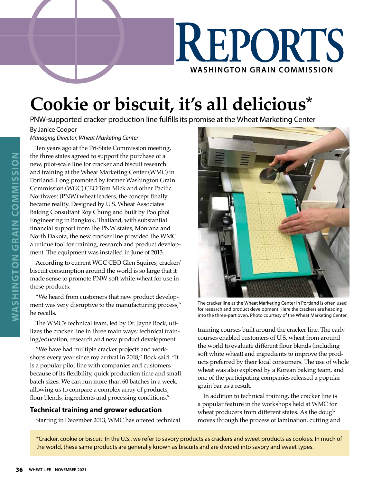

## **Cookie or biscuit, it's all delicious\***

PNW-supported cracker production line fulfills its promise at the Wheat Marketing Center

By Janice Cooper

*Managing Director, Wheat Marketing Center*

Ten years ago at the Tri-State Commission meeting, the three states agreed to support the purchase of a new, pilot-scale line for cracker and biscuit research and training at the Wheat Marketing Center (WMC) in Portland. Long promoted by former Washington Grain Commission (WGC) CEO Tom Mick and other Pacific Northwest (PNW) wheat leaders, the concept finally became reality. Designed by U.S. Wheat Associates Baking Consultant Roy Chung and built by Poolphol Engineering in Bangkok, Thailand, with substantial financial support from the PNW states, Montana and North Dakota, the new cracker line provided the WMC a unique tool for training, research and product development. The equipment was installed in June of 2013.

According to current WGC CEO Glen Squires, cracker/ biscuit consumption around the world is so large that it made sense to promote PNW soft white wheat for use in these products.

"We heard from customers that new product development was very disruptive to the manufacturing process," he recalls.

The WMC's technical team, led by Dr. Jayne Bock, utilizes the cracker line in three main ways: technical training/education, research and new product development.

"We have had multiple cracker projects and workshops every year since my arrival in 2018," Bock said. "It is a popular pilot line with companies and customers because of its flexibility, quick production time and small batch sizes. We can run more than 60 batches in a week, allowing us to compare a complex array of products, flour blends, ingredients and processing conditions."

## **Technical training and grower education**

Starting in December 2013, WMC has offered technical



The cracker line at the Wheat Marketing Center in Portland is often used for research and product development. Here the crackers are heading into the three-part oven. Photo courtesy of the Wheat Marketing Center.

training courses built around the cracker line. The early courses enabled customers of U.S. wheat from around the world to evaluate different flour blends (including soft white wheat) and ingredients to improve the products preferred by their local consumers. The use of whole wheat was also explored by a Korean baking team, and one of the participating companies released a popular grain bar as a result.

In addition to technical training, the cracker line is a popular feature in the workshops held at WMC for wheat producers from different states. As the dough moves through the process of lamination, cutting and

\*Cracker, cookie or biscuit: In the U.S., we refer to savory products as crackers and sweet products as cookies. In much of the world, these same products are generally known as biscuits and are divided into savory and sweet types.